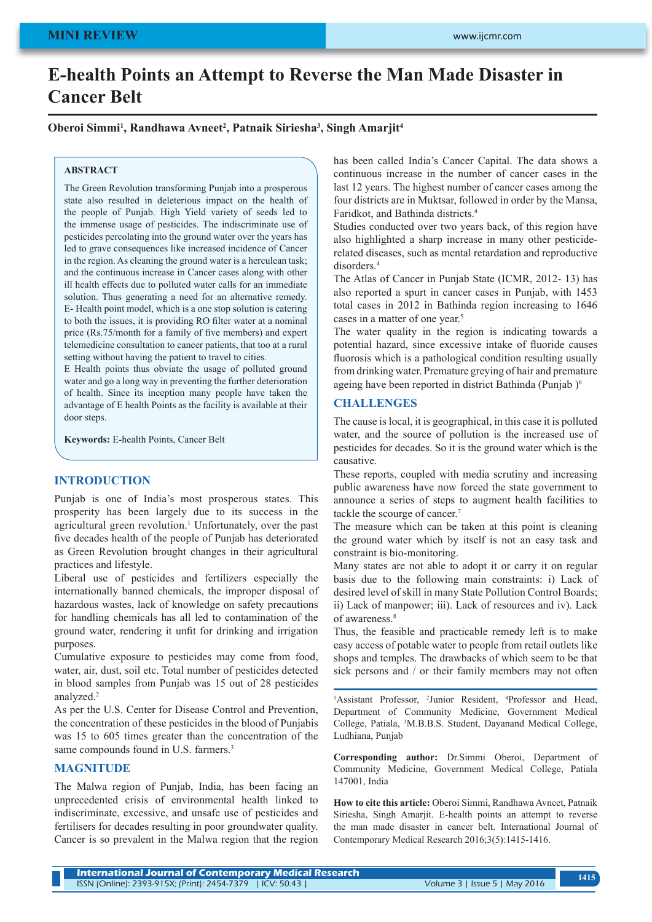# **E-health Points an Attempt to Reverse the Man Made Disaster in Cancer Belt**

## Oberoi Simmi<sup>1</sup>, Randhawa Avneet<sup>2</sup>, Patnaik Siriesha<sup>3</sup>, Singh Amarjit<sup>4</sup>

#### **ABSTRACT**

The Green Revolution transforming Punjab into a prosperous state also resulted in deleterious impact on the health of the people of Punjab. High Yield variety of seeds led to the immense usage of pesticides. The indiscriminate use of pesticides percolating into the ground water over the years has led to grave consequences like increased incidence of Cancer in the region. As cleaning the ground water is a herculean task; and the continuous increase in Cancer cases along with other ill health effects due to polluted water calls for an immediate solution. Thus generating a need for an alternative remedy. E- Health point model, which is a one stop solution is catering to both the issues, it is providing RO filter water at a nominal price (Rs.75/month for a family of five members) and expert telemedicine consultation to cancer patients, that too at a rural setting without having the patient to travel to cities.

E Health points thus obviate the usage of polluted ground water and go a long way in preventing the further deterioration of health. Since its inception many people have taken the advantage of E health Points as the facility is available at their door steps.

**Keywords:** E-health Points, Cancer Belt

#### **INTRODUCTION**

Punjab is one of India's most prosperous states. This prosperity has been largely due to its success in the agricultural green revolution.<sup>1</sup> Unfortunately, over the past five decades health of the people of Punjab has deteriorated as Green Revolution brought changes in their agricultural practices and lifestyle.

Liberal use of pesticides and fertilizers especially the internationally banned chemicals, the improper disposal of hazardous wastes, lack of knowledge on safety precautions for handling chemicals has all led to contamination of the ground water, rendering it unfit for drinking and irrigation purposes.

Cumulative exposure to pesticides may come from food, water, air, dust, soil etc. Total number of pesticides detected in blood samples from Punjab was 15 out of 28 pesticides analyzed.<sup>2</sup>

As per the U.S. Center for Disease Control and Prevention, the concentration of these pesticides in the blood of Punjabis was 15 to 605 times greater than the concentration of the same compounds found in U.S. farmers.<sup>3</sup>

#### **MAGNITUDE**

The Malwa region of Punjab, India, has been facing an unprecedented crisis of environmental health linked to indiscriminate, excessive, and unsafe use of pesticides and fertilisers for decades resulting in poor groundwater quality. Cancer is so prevalent in the Malwa region that the region has been called India's Cancer Capital. The data shows a continuous increase in the number of cancer cases in the last 12 years. The highest number of cancer cases among the four districts are in Muktsar, followed in order by the Mansa, Faridkot, and Bathinda districts.4

Studies conducted over two years back, of this region have also highlighted a sharp increase in many other pesticiderelated diseases, such as mental retardation and reproductive disorders<sup>4</sup>

The Atlas of Cancer in Punjab State (ICMR, 2012- 13) has also reported a spurt in cancer cases in Punjab, with 1453 total cases in 2012 in Bathinda region increasing to 1646 cases in a matter of one year.<sup>5</sup>

The water quality in the region is indicating towards a potential hazard, since excessive intake of fluoride causes fluorosis which is a pathological condition resulting usually from drinking water. Premature greying of hair and premature ageing have been reported in district Bathinda (Punjab )<sup>6</sup>

## **CHALLENGES**

The cause is local, it is geographical, in this case it is polluted water, and the source of pollution is the increased use of pesticides for decades. So it is the ground water which is the causative.

These reports, coupled with media scrutiny and increasing public awareness have now forced the state government to announce a series of steps to augment health facilities to tackle the scourge of cancer.<sup>7</sup>

The measure which can be taken at this point is cleaning the ground water which by itself is not an easy task and constraint is bio-monitoring.

Many states are not able to adopt it or carry it on regular basis due to the following main constraints: i) Lack of desired level of skill in many State Pollution Control Boards; ii) Lack of manpower; iii). Lack of resources and iv). Lack of awareness.8

Thus, the feasible and practicable remedy left is to make easy access of potable water to people from retail outlets like shops and temples. The drawbacks of which seem to be that sick persons and / or their family members may not often

<sup>1</sup>Assistant Professor, <sup>2</sup>Junior Resident, <sup>4</sup>Professor and Head, Department of Community Medicine, Government Medical College, Patiala, 3 M.B.B.S. Student, Dayanand Medical College, Ludhiana, Punjab

**Corresponding author:** Dr.Simmi Oberoi, Department of Community Medicine, Government Medical College, Patiala 147001, India

**How to cite this article:** Oberoi Simmi, Randhawa Avneet, Patnaik Siriesha, Singh Amarjit. E-health points an attempt to reverse the man made disaster in cancer belt. International Journal of Contemporary Medical Research 2016;3(5):1415-1416.